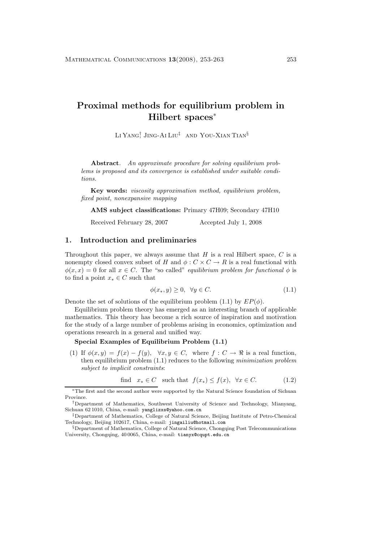# **Proximal methods for equilibrium problem in Hilbert spaces**<sup>∗</sup>

Li Yang† Jing-Ai Liu‡⊔and You-Xian Tian§

**Abstract***. An approximate procedure for solving equilibrium problems is proposed and its convergence is established under suitable conditions.*

**Key words:** *viscosity approximation method, equilibrium problem, fixed point, nonexpansive mapping*

**AMS subject classifications:** Primary 47H09; Secondary 47H10

Received February 28, 2007 Accepted July 1, 2008

#### **1. Introduction and preliminaries**

Throughout this paper, we always assume that  $H$  is a real Hilbert space,  $C$  is a nonempty closed convex subset of H and  $\phi : C \times C \to R$  is a real functional with  $\phi(x, x) = 0$  for all  $x \in C$ . The "so called" *equilibrium problem for functional*  $\phi$  is to find a point  $x_* \in C$  such that

$$
\phi(x_*, y) \ge 0, \ \forall y \in C. \tag{1.1}
$$

Denote the set of solutions of the equilibrium problem (1.1) by  $EP(\phi)$ .

Equilibrium problem theory has emerged as an interesting branch of applicable mathematics. This theory has become a rich source of inspiration and motivation for the study of a large number of problems arising in economics, optimization and operations research in a general and unified way.

## **Special Examples of Equilibrium Problem (1.1)**

(1) If  $\phi(x, y) = f(x) - f(y)$ ,  $\forall x, y \in C$ , where  $f : C \to \mathbb{R}$  is a real function, then equilibrium problem (1.1) reduces to the following *minimization problem subject to implicit constraints*:

find 
$$
x_* \in C
$$
 such that  $f(x_*) \le f(x)$ ,  $\forall x \in C$ . (1.2)

<sup>∗</sup>The first and the second author were supported by the Natural Science foundation of Sichuan Province.

<sup>†</sup>Department of Mathematics, Southwest University of Science and Technology, Mianyang, Sichuan 62 1010, China, e-mail: yanglizxs@yahoo.com.cn

<sup>‡</sup>Department of Mathematics, College of Natural Science, Beijing Institute of Petro-Chemical Technology, Beijing 102617, China, e-mail: jingailiu@hotmail.com

<sup>§</sup>Department of Mathematics, College of Natural Science, Chongqing Post Telecommunications University, Chongqing, 40 0065, China, e-mail: tianyx@cqupt.edu.cn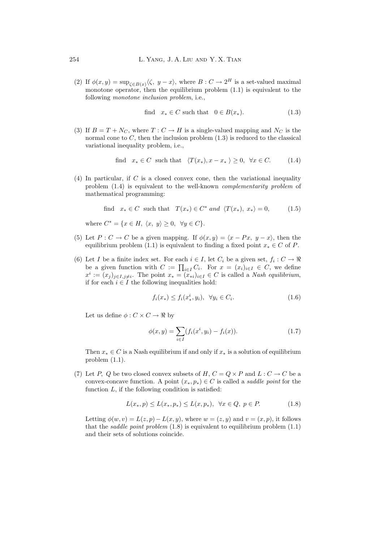(2) If  $\phi(x, y) = \sup_{\zeta \in B(x)} \langle \zeta, y - x \rangle$ , where  $B : C \to 2^H$  is a set-valued maximal monotone operator, then the equilibrium problem  $(1.1)$  is equivalent to the following *monotone inclusion problem*, i.e.,

$$
\text{find} \quad x_* \in C \text{ such that} \quad 0 \in B(x_*). \tag{1.3}
$$

(3) If  $B = T + N_C$ , where  $T : C \to H$  is a single-valued mapping and  $N_C$  is the normal cone to  $C$ , then the inclusion problem  $(1.3)$  is reduced to the classical variational inequality problem, i.e.,

$$
\text{find} \quad x_* \in C \quad \text{such that} \quad \langle T(x_*) , x - x_* \rangle \ge 0, \quad \forall x \in C. \tag{1.4}
$$

(4) In particular, if  $C$  is a closed convex cone, then the variational inequality problem (1.4) is equivalent to the well-known *complementarity problem* of mathematical programming:

find 
$$
x_* \in C
$$
 such that  $T(x_*) \in C^*$  and  $\langle T(x_*) , x_* \rangle = 0$ , (1.5)

where  $C^* = \{x \in H, \langle x, y \rangle \geq 0, \forall y \in C\}.$ 

- (5) Let  $P: C \to C$  be a given mapping. If  $\phi(x, y) = \langle x Px, y x \rangle$ , then the equilibrium problem (1.1) is equivalent to finding a fixed point  $x_* \in C$  of P.
- (6) Let I be a finite index set. For each  $i \in I$ , let  $C_i$  be a given set,  $f_i : C \to \Re$ be a given function with  $C := \prod_{i \in I} C_i$ . For  $x = (x_i)_{i \in I} \in C$ , we define  $x^i := (x_j)_{j \in I, j \neq i}$ . The point  $x_* = (x_{*i})_{i \in I} \in C$  is called a *Nash equilibrium*, if for each  $i \in I$  the following inequalities hold:

$$
f_i(x_*) \le f_i(x_*^i, y_i), \quad \forall y_i \in C_i.
$$
\n
$$
(1.6)
$$

Let us define  $\phi: C \times C \rightarrow \Re$  by

$$
\phi(x,y) = \sum_{i \in I} (f_i(x^i, y_i) - f_i(x)).
$$
\n(1.7)

Then  $x_* \in C$  is a Nash equilibrium if and only if  $x_*$  is a solution of equilibrium problem (1.1).

(7) Let P, Q be two closed convex subsets of H,  $C = Q \times P$  and  $L : C \to C$  be a convex-concave function. A point  $(x_*, p_*) \in C$  is called a *saddle point* for the function  $L$ , if the following condition is satisfied:

$$
L(x_*, p) \le L(x_*, p_*) \le L(x, p_*), \ \ \forall x \in Q, \ p \in P. \tag{1.8}
$$

Letting  $\phi(w, v) = L(z, p) - L(x, y)$ , where  $w = (z, y)$  and  $v = (x, p)$ , it follows that the *saddle point problem*  $(1.8)$  is equivalent to equilibrium problem  $(1.1)$ and their sets of solutions coincide.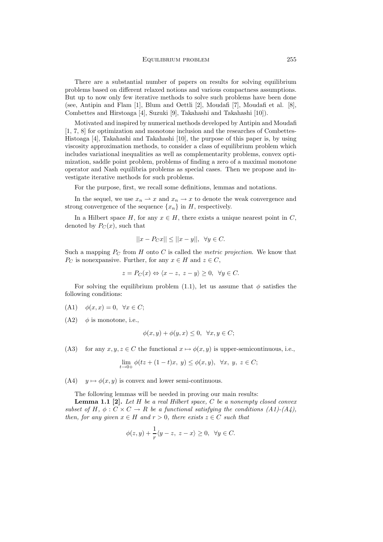There are a substantial number of papers on results for solving equilibrium problems based on different relaxed notions and various compactness assumptions. But up to now only few iterative methods to solve such problems have been done (see, Antipin and Flam [1], Blum and Oettli [2], Moudafi [7], Moudafi et al. [8], Combettes and Hirstoaga [4], Suzuki [9], Takahashi and Takahashi [10]).

Motivated and inspired by numerical methods developed by Antipin and Moudafi [1, 7, 8] for optimization and monotone inclusion and the researches of Combettes-Histoaga [4], Takahashi and Takahashi [10], the purpose of this paper is, by using viscosity approximation methods, to consider a class of equilibrium problem which includes variational inequalities as well as complementarity problems, convex optimization, saddle point problem, problems of finding a zero of a maximal monotone operator and Nash equilibria problems as special cases. Then we propose and investigate iterative methods for such problems.

For the purpose, first, we recall some definitions, lemmas and notations.

In the sequel, we use  $x_n \rightharpoonup x$  and  $x_n \rightharpoonup x$  to denote the weak convergence and strong convergence of the sequence  $\{x_n\}$  in H, respectively.

In a Hilbert space H, for any  $x \in H$ , there exists a unique nearest point in C, denoted by  $P_C(x)$ , such that

$$
||x - P_C x|| \le ||x - y||, \ \forall y \in C.
$$

Such a mapping  $P_C$  from H onto C is called the *metric projection*. We know that  $P_C$  is nonexpansive. Further, for any  $x \in H$  and  $z \in C$ ,

$$
z = P_C(x) \Leftrightarrow \langle x - z, z - y \rangle \ge 0, \ \forall y \in C.
$$

For solving the equilibrium problem (1.1), let us assume that  $\phi$  satisfies the following conditions:

- (A1)  $\phi(x, x) = 0, \forall x \in C$ ;
- $(A2)$   $\phi$  is monotone, i.e.,

$$
\phi(x, y) + \phi(y, x) \le 0, \ \forall x, y \in C;
$$

(A3) for any  $x, y, z \in C$  the functional  $x \mapsto \phi(x, y)$  is upper-semicontinuous, i.e.,

$$
\lim_{t \to 0+} \phi(tz + (1-t)x, y) \le \phi(x, y), \ \forall x, y, z \in C;
$$

(A4)  $y \mapsto \phi(x, y)$  is convex and lower semi-continuous.

The following lemmas will be needed in proving our main results:

**Lemma 1.1 [2].** *Let* H *be a real Hilbert space,* C *be a nonempty closed convex subset of*  $H$ ,  $\phi$  :  $C \times C \rightarrow R$  *be a functional satisfying the conditions (A1)-(A4), then, for any given*  $x \in H$  *and*  $r > 0$ *, there exists*  $z \in C$  *such that* 

$$
\phi(z,y) + \frac{1}{r}\langle y-z, z-x\rangle \ge 0, \ \forall y \in C.
$$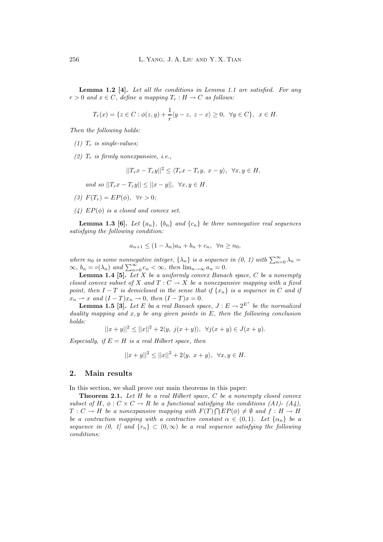**Lemma 1.2 [4].** *Let all the conditions in Lemma 1.1 are satisfied. For any*  $r > 0$  *and*  $x \in C$ *, define a mapping*  $T_r : H \to C$  *as follows:* 

$$
T_r(x) = \{ z \in C : \phi(z, y) + \frac{1}{r} \langle y - z, z - x \rangle \ge 0, \ \forall y \in C \}, \ x \in H.
$$

*Then the following holds:*

- $(1)$   $T_r$  *is single-values*;
- $(2)$   $T_r$  *is firmly nonexpansive, i.e.*,

$$
||T_rx - T_ry||^2 \le \langle T_rx - T_ry, x - y \rangle, \ \forall x, y \in H,
$$

*and so*  $||T_rx - T_ry|| \le ||x - y||, \forall x, y \in H$ .

- *(3)*  $F(T_r) = EP(\phi), \forall r > 0;$
- $(4)$   $EP(\phi)$  *is a closed and convex set.*

**Lemma 1.3 [6].** *Let*  $\{a_n\}$ ,  $\{b_n\}$  *and*  $\{c_n\}$  *be three nonnegative real sequences satisfying the following condition:*

$$
a_{n+1} \le (1 - \lambda_n)a_n + b_n + c_n, \ \ \forall n \ge n_0,
$$

*where*  $n_0$  *is some nonnegative integer,*  $\{\lambda_n\}$  *is a sequence in (0, 1) with*  $\sum_{n=0}^{\infty} \lambda_n =$  $\infty$ *,*  $b_n = \circ(\lambda_n)$  and  $\sum_{n=0}^{\infty} c_n < \infty$ *, then*  $\lim_{n \to \infty} a_n = 0$ *.* 

**Lemma 1.4 [5].** *Let* X *be a uniformly convex Banach space,* C *be a nonempty closed convex subset of* X and  $T: C \to X$  *be a nonexpansive mapping with a fixed point, then*  $I - T$  *is demiclosed in the sense that if*  $\{x_n\}$  *is a sequence in* C *and if*  $x_n \rightharpoonup x$  and  $(I - T)x_n \rightharpoonup 0$ , then  $(I - T)x = 0$ .

**Lemma 1.5 [3].** Let E ba a real Banach space,  $J: E \to 2^{E^*}$  be the normalized *duality mapping and* x, y *be any given points in* E*, then the following conclusion holds:*

$$
||x + y||^2 \le ||x||^2 + 2\langle y, \ j(x + y) \rangle, \ \ \forall j(x + y) \in J(x + y).
$$

*Especially, if*  $E = H$  *is a real Hilbert space, then* 

$$
||x+y||^2 \le ||x||^2 + 2\langle y, x+y \rangle, \ \forall x, y \in H.
$$

#### **2. Main results**

In this section, we shall prove our main theorems in this paper:

**Theorem 2.1.** *Let* H *be a real Hilbert space,* C *be a nonempty closed convex subset of* H,  $\phi$ :  $C \times C \rightarrow R$  *be a functional satisfying the conditions (A1)-(A4),*  $T: C \to H$  be a nonexpansive mapping with  $F(T) \cap EP(\phi) \neq \emptyset$  and  $f: H \to H$ *be a contraction mapping with a contractive constant*  $\alpha \in (0,1)$ *. Let*  $\{\alpha_n\}$  *be a sequence in (0, 1) and*  $\{r_n\} \subset (0,\infty)$  *be a real sequence satisfying the following conditions:*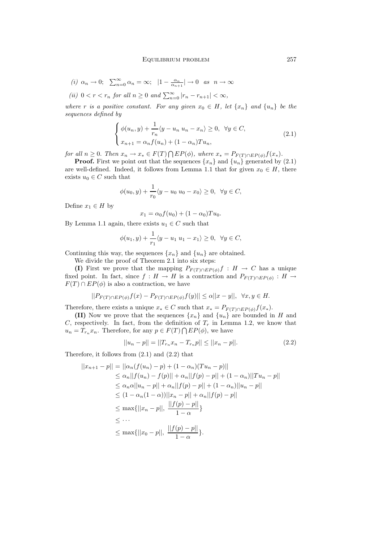(i) 
$$
\alpha_n \to 0
$$
;  $\sum_{n=0}^{\infty} \alpha_n = \infty$ ;  $|1 - \frac{\alpha_n}{\alpha_{n+1}}| \to 0$  as  $n \to \infty$   
(ii)  $0 < r < r_n$  for all  $n \ge 0$  and  $\sum_{n=0}^{\infty} |r_n - r_{n+1}| < \infty$ ,

*where* r *is a positive constant. For any given*  $x_0 \in H$ *, let*  $\{x_n\}$  *and*  $\{u_n\}$  *be the sequences defined by*

$$
\begin{cases}\n\phi(u_n, y) + \frac{1}{r_n} \langle y - u_n u_n - x_n \rangle \ge 0, \ \forall y \in C, \\
x_{n+1} = \alpha_n f(u_n) + (1 - \alpha_n) T u_n,\n\end{cases}
$$
\n(2.1)

*for all*  $n \geq 0$ *. Then*  $x_n \to x_* \in F(T) \cap EP(\phi)$ *, where*  $x_* = P_{F(T) \cap EP(\phi)} f(x_*)$ *.* 

**Proof.** First we point out that the sequences  $\{x_n\}$  and  $\{u_n\}$  generated by (2.1) are well-defined. Indeed, it follows from Lemma 1.1 that for given  $x_0 \in H$ , there exists  $u_0 \in C$  such that

$$
\phi(u_0, y) + \frac{1}{r_0} \langle y - u_0 | u_0 - x_0 \rangle \ge 0, \ \forall y \in C,
$$

Define  $x_1 \in H$  by

$$
x_1 = \alpha_0 f(u_0) + (1 - \alpha_0) T u_0.
$$

By Lemma 1.1 again, there exists  $u_1 \in C$  such that

$$
\phi(u_1, y) + \frac{1}{r_1} \langle y - u_1 | u_1 - x_1 \rangle \ge 0, \ \forall y \in C,
$$

Continuing this way, the sequences  $\{x_n\}$  and  $\{u_n\}$  are obtained.

We divide the proof of Theorem 2.1 into six steps:

**(I)** First we prove that the mapping  $P_{F(T) \cap EP(\phi)}f : H \to C$  has a unique fixed point. In fact, since  $f : H \to H$  is a contraction and  $P_{F(T) \cap EP(\phi)} : H \to$  $F(T) \cap EP(\phi)$  is also a contraction, we have

$$
||P_{F(T)\cap EP(\phi)}f(x)-P_{F(T)\cap EP(\phi)}f(y)||\leq \alpha ||x-y||, ~~\forall x,y\in H.
$$

Therefore, there exists a unique  $x_* \in C$  such that  $x_* = P_{F(T) \cap EP(\phi)} f(x_*)$ .

**(II)** Now we prove that the sequences  $\{x_n\}$  and  $\{u_n\}$  are bounded in H and C, respectively. In fact, from the definition of  $T_r$  in Lemma 1.2, we know that  $u_n = T_{r_n} x_n$ . Therefore, for any  $p \in F(T) \cap EP(\phi)$ , we have

$$
||u_n - p|| = ||T_{r_n}x_n - T_{r_n}p|| \le ||x_n - p||. \tag{2.2}
$$

Therefore, it follows from  $(2.1)$  and  $(2.2)$  that

$$
||x_{n+1} - p|| = ||\alpha_n(f(u_n) - p) + (1 - \alpha_n)(Tu_n - p)||
$$
  
\n
$$
\leq \alpha_n ||f(u_n) - f(p)|| + \alpha_n ||f(p) - p|| + (1 - \alpha_n)||Tu_n - p||
$$
  
\n
$$
\leq \alpha_n \alpha ||u_n - p|| + \alpha_n ||f(p) - p|| + (1 - \alpha_n)||u_n - p||
$$
  
\n
$$
\leq (1 - \alpha_n(1 - \alpha)) ||x_n - p|| + \alpha_n ||f(p) - p||
$$
  
\n
$$
\leq \max \{ ||x_n - p||, \frac{||f(p) - p||}{1 - \alpha} \}
$$
  
\n
$$
\leq \cdots
$$
  
\n
$$
\leq \max \{ ||x_0 - p||, \frac{||f(p) - p||}{1 - \alpha} \}.
$$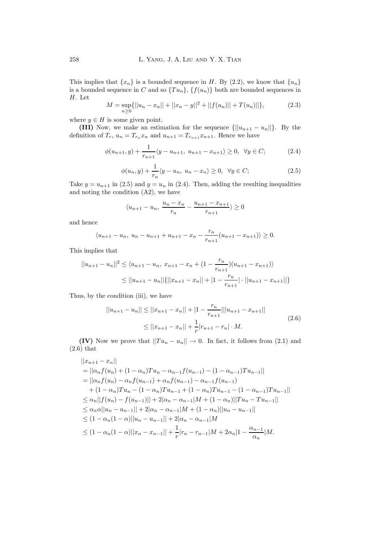This implies that  $\{x_n\}$  is a bounded sequence in H. By (2.2), we know that  $\{u_n\}$ is a bounded sequence in C and so  $\{Tu_n\}$ ,  $\{f(u_n)\}$  both are bounded sequences in H. Let

$$
M = \sup_{n \ge 0} \{ ||u_n - x_n|| + ||x_n - y||^2 + ||f(u_n)|| + T(u_n)|| \},
$$
\n(2.3)

where  $y \in H$  is some given point.

**(III)** Now, we make an estimation for the sequence  $\{||u_{n+1} - u_n||\}$ . By the definition of  $T_r$ ,  $u_n = T_{r_n}x_n$  and  $u_{n+1} = T_{r_{n+1}}x_{n+1}$ . Hence we have

$$
\phi(u_{n+1}, y) + \frac{1}{r_{n+1}} \langle y - u_{n+1}, u_{n+1} - x_{n+1} \rangle \ge 0, \ \forall y \in C; \tag{2.4}
$$

$$
\phi(u_n, y) + \frac{1}{r_n} \langle y - u_n, u_n - x_n \rangle \ge 0, \quad \forall y \in C; \tag{2.5}
$$

Take  $y = u_{n+1}$  in (2.5) and  $y = u_n$  in (2.4). Then, adding the resulting inequalities and noting the condition (A2), we have

$$
\langle u_{n+1} - u_n, \ \frac{u_n - x_n}{r_n} - \frac{u_{n+1} - x_{n+1}}{r_{n+1}} \rangle \ge 0
$$

and hence

$$
\langle u_{n+1} - u_n, u_n - u_{n+1} + u_{n+1} - x_n - \frac{r_n}{r_{n+1}} (u_{n+1} - x_{n+1}) \rangle \ge 0.
$$

This implies that

$$
||u_{n+1} - u_n||^2 \le \langle u_{n+1} - u_n, x_{n+1} - x_n + (1 - \frac{r_n}{r_{n+1}})(u_{n+1} - x_{n+1}) \rangle
$$
  
\n
$$
\le ||u_{n+1} - u_n||\{||x_{n+1} - x_n|| + |1 - \frac{r_n}{r_{n+1}}| \cdot ||u_{n+1} - x_{n+1}||\}
$$

Thus, by the condition (iii), we have

$$
||u_{n+1} - u_n|| \le ||x_{n+1} - x_n|| + |1 - \frac{r_n}{r_{n+1}}|||u_{n+1} - x_{n+1}||
$$
  

$$
\le ||x_{n+1} - x_n|| + \frac{1}{r}|r_{n+1} - r_n| \cdot M.
$$
 (2.6)

**(IV)** Now we prove that  $||Tu_n - u_n|| \to 0$ . In fact, it follows from (2.1) and (2.6) that

$$
||x_{n+1} - x_n||
$$
  
\n
$$
= ||\alpha_n f(u_n) + (1 - \alpha_n)Tu_n - \alpha_{n-1}f(u_{n-1}) - (1 - \alpha_{n-1})Tu_{n-1}||
$$
  
\n
$$
= ||\alpha_n f(u_n) - \alpha_n f(u_{n-1}) + \alpha_n f(u_{n-1}) - \alpha_{n-1}f(u_{n-1})
$$
  
\n
$$
+ (1 - \alpha_n)Tu_n - (1 - \alpha_n)Tu_{n-1} + (1 - \alpha_n)Tu_{n-1} - (1 - \alpha_{n-1})Tu_{n-1}||
$$
  
\n
$$
\leq \alpha_n ||f(u_n) - f(u_{n-1})|| + 2|\alpha_n - \alpha_{n-1}|M + (1 - \alpha_n)||Tu_n - Tu_{n-1}||
$$
  
\n
$$
\leq \alpha_n \alpha ||u_n - u_{n-1}|| + 2|\alpha_n - \alpha_{n-1}|M + (1 - \alpha_n)||u_n - u_{n-1}||
$$
  
\n
$$
\leq (1 - \alpha_n(1 - \alpha)||u_n - u_{n-1}|| + 2|\alpha_n - \alpha_{n-1}|M
$$
  
\n
$$
\leq (1 - \alpha_n(1 - \alpha)||x_n - x_{n-1}|| + \frac{1}{r}|r_n - r_{n-1}|M + 2\alpha_n|1 - \frac{\alpha_{n-1}}{\alpha_n}|M.
$$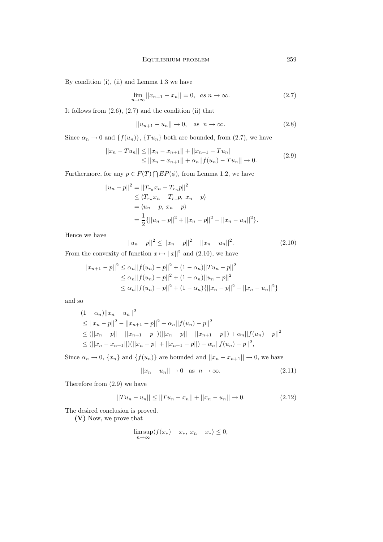By condition (i), (ii) and Lemma 1.3 we have

$$
\lim_{n \to \infty} ||x_{n+1} - x_n|| = 0, \quad \text{as } n \to \infty. \tag{2.7}
$$

It follows from  $(2.6)$ ,  $(2.7)$  and the condition  $(ii)$  that

$$
||u_{n+1} - u_n|| \to 0, \quad \text{as } n \to \infty.
$$
 (2.8)

Since  $\alpha_n \to 0$  and  $\{f(u_n)\}, \{Tu_n\}$  both are bounded, from (2.7), we have

$$
||x_n - Tu_n|| \le ||x_n - x_{n+1}|| + ||x_{n+1} - Tu_n||
$$
  
\n
$$
\le ||x_n - x_{n+1}|| + \alpha_n ||f(u_n) - Tu_n|| \to 0.
$$
\n(2.9)

Furthermore, for any  $p \in F(T) \cap EP(\phi)$ , from Lemma 1.2, we have

$$
||u_n - p||^2 = ||T_{r_n} x_n - T_{r_n} p||^2
$$
  
\n
$$
\leq \langle T_{r_n} x_n - T_{r_n} p, x_n - p \rangle
$$
  
\n
$$
= \langle u_n - p, x_n - p \rangle
$$
  
\n
$$
= \frac{1}{2} \{ ||u_n - p||^2 + ||x_n - p||^2 - ||x_n - u_n||^2 \}.
$$

Hence we have

$$
||u_n - p||^2 \le ||x_n - p||^2 - ||x_n - u_n||^2.
$$
\n(2.10)

From the convexity of function  $x \mapsto ||x||^2$  and (2.10), we have

$$
||x_{n+1} - p||^2 \le \alpha_n ||f(u_n) - p||^2 + (1 - \alpha_n)||Tu_n - p||^2
$$
  
\n
$$
\le \alpha_n ||f(u_n) - p||^2 + (1 - \alpha_n)||u_n - p||^2
$$
  
\n
$$
\le \alpha_n ||f(u_n) - p||^2 + (1 - \alpha_n) \{ ||x_n - p||^2 - ||x_n - u_n||^2 \}
$$

and so

$$
(1 - \alpha_n) ||x_n - u_n||^2
$$
  
\n
$$
\leq ||x_n - p||^2 - ||x_{n+1} - p||^2 + \alpha_n ||f(u_n) - p||^2
$$
  
\n
$$
\leq (||x_n - p|| - ||x_{n+1} - p||)(||x_n - p|| + ||x_{n+1} - p||) + \alpha_n ||f(u_n) - p||^2
$$
  
\n
$$
\leq (||x_n - x_{n+1}||)(||x_n - p|| + ||x_{n+1} - p||) + \alpha_n ||f(u_n) - p||^2,
$$

Since  $\alpha_n \to 0$ ,  $\{x_n\}$  and  $\{f(u_n)\}\$ are bounded and  $||x_n - x_{n+1}|| \to 0$ , we have

$$
||x_n - u_n|| \to 0 \quad \text{as} \quad n \to \infty. \tag{2.11}
$$

Therefore from (2.9) we have

$$
||Tu_n - u_n|| \le ||Tu_n - x_n|| + ||x_n - u_n|| \to 0.
$$
\n(2.12)

The desired conclusion is proved.

**(V)** Now, we prove that

$$
\limsup_{n \to \infty} \langle f(x_*) - x_*, \ x_n - x_* \rangle \le 0,
$$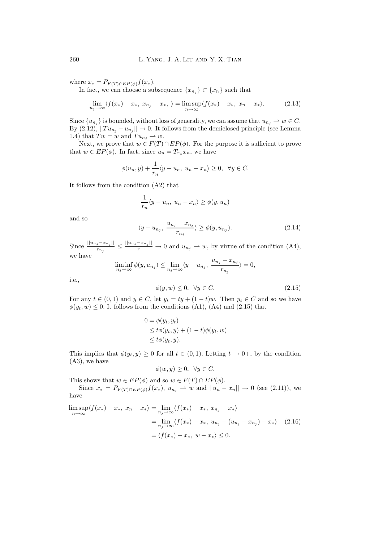where  $x_* = P_{F(T) \cap EP(\phi)} f(x_*)$ .

In fact, we can choose a subsequence  $\{x_{n_j}\}\subset \{x_n\}$  such that

$$
\lim_{n_j \to \infty} \langle f(x_*) - x_*, \ x_{n_j} - x_*, \ \rangle = \limsup_{n \to \infty} \langle f(x_*) - x_*, \ x_n - x_* \rangle. \tag{2.13}
$$

Since  ${u_{n_j}}$  is bounded, without loss of generality, we can assume that  $u_{n_j} \to w \in C$ . By  $(2.12)$ ,  $||Tu_{n_j} - u_{n_j}|| \rightarrow 0$ . It follows from the demiclosed principle (see Lemma 1.4) that  $Tw = w$  and  $Tu_{n_j} \to w$ .

Next, we prove that  $w \in F(T) \cap EP(\phi)$ . For the purpose it is sufficient to prove that  $w \in EP(\phi)$ . In fact, since  $u_n = T_{r_n}x_n$ , we have

$$
\phi(u_n, y) + \frac{1}{r_n} \langle y - u_n, u_n - x_n \rangle \ge 0, \ \forall y \in C.
$$

It follows from the condition (A2) that

$$
\frac{1}{r_n}\langle y - u_n, u_n - x_n \rangle \ge \phi(y, u_n)
$$

and so

$$
\langle y - u_{n_j}, \frac{u_{n_j} - x_{n_j}}{r_{n_j}} \rangle \ge \phi(y, u_{n_j}). \tag{2.14}
$$

Since  $\frac{||u_{n_j}-x_{n_j}||}{r_{n_j}} \le \frac{||u_{n_j}-x_{n_j}||}{r} \to 0$  and  $u_{n_j} \to w$ , by virtue of the condition (A4),

we have 
$$
\liminf_{n_j\to\infty}\phi(y,u_{n_j})\leq \lim_{n_j\to\infty}\langle y-u_{n_j},\;\frac{u_{n_j}-x_{n_j}}{r_{n_j}}\rangle=0,
$$

i.e.,

$$
\phi(y, w) \le 0, \quad \forall y \in C. \tag{2.15}
$$

For any  $t \in (0,1)$  and  $y \in C$ , let  $y_t = ty + (1-t)w$ . Then  $y_t \in C$  and so we have  $\phi(y_t, w) \leq 0$ . It follows from the conditions (A1), (A4) and (2.15) that

$$
0 = \phi(y_t, y_t)
$$
  
\n
$$
\leq t\phi(y_t, y) + (1 - t)\phi(y_t, w)
$$
  
\n
$$
\leq t\phi(y_t, y).
$$

This implies that  $\phi(y_t, y) \geq 0$  for all  $t \in (0, 1)$ . Letting  $t \to 0^+$ , by the condition (A3), we have

$$
\phi(w, y) \ge 0, \ \forall y \in C.
$$

This shows that  $w \in EP(\phi)$  and so  $w \in F(T) \cap EP(\phi)$ .

Since  $x_* = P_{F(T) \cap EP(\phi)} f(x_*)$ ,  $u_{n_j} \to w$  and  $||u_n - x_n|| \to 0$  (see (2.11)), we have

$$
\limsup_{n \to \infty} \langle f(x_*) - x_*, \ x_n - x_* \rangle = \lim_{n_j \to \infty} \langle f(x_*) - x_*, \ x_{n_j} - x_* \rangle
$$
  
= 
$$
\lim_{n_j \to \infty} \langle f(x_*) - x_*, \ u_{n_j} - (u_{n_j} - x_{n_j}) - x_* \rangle
$$
 (2.16)  
=  $\langle f(x_*) - x_*, \ w - x_* \rangle \leq 0.$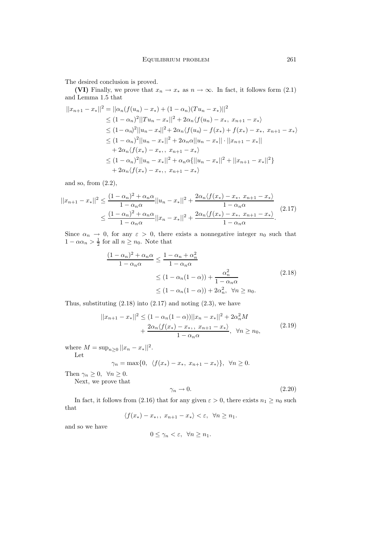The desired conclusion is proved.

**(VI)** Finally, we prove that  $x_n \to x_*$  as  $n \to \infty$ . In fact, it follows form (2.1) and Lemma 1.5 that

$$
||x_{n+1} - x_*||^2 = ||\alpha_n(f(u_n) - x_*) + (1 - \alpha_n)(Tu_n - x_*)||^2
$$
  
\n
$$
\leq (1 - \alpha_n)^2 ||Tu_n - x_*||^2 + 2\alpha_n \langle f(u_n) - x_*, x_{n+1} - x_*\rangle
$$
  
\n
$$
\leq (1 - \alpha_n)^2 ||u_n - x_*||^2 + 2\alpha_n \langle f(u_n) - f(x_*) + f(x_*) - x_*, x_{n+1} - x_*\rangle
$$
  
\n
$$
\leq (1 - \alpha_n)^2 ||u_n - x_*||^2 + 2\alpha_n \alpha ||u_n - x_*|| \cdot ||x_{n+1} - x_*||
$$
  
\n
$$
+ 2\alpha_n \langle f(x_*) - x_*, x_{n+1} - x_*\rangle
$$
  
\n
$$
\leq (1 - \alpha_n)^2 ||u_n - x_*||^2 + \alpha_n \alpha \{||u_n - x_*||^2 + ||x_{n+1} - x_*||^2\}
$$
  
\n
$$
+ 2\alpha_n \langle f(x_*) - x_*, x_{n+1} - x_*\rangle
$$

and so, from  $(2.2)$ ,

$$
||x_{n+1} - x_*||^2 \le \frac{(1 - \alpha_n)^2 + \alpha_n \alpha}{1 - \alpha_n \alpha} ||u_n - x_*||^2 + \frac{2\alpha_n \langle f(x_*) - x_*, x_{n+1} - x_*\rangle}{1 - \alpha_n \alpha} \le \frac{(1 - \alpha_n)^2 + \alpha_n \alpha}{1 - \alpha_n \alpha} ||x_n - x_*||^2 + \frac{2\alpha_n \langle f(x_*) - x_*, x_{n+1} - x_*\rangle}{1 - \alpha_n \alpha}.
$$
\n(2.17)

Since  $\alpha_n \to 0$ , for any  $\varepsilon > 0$ , there exists a nonnegative integer  $n_0$  such that  $1 - \alpha \alpha_n > \frac{1}{2}$  for all  $n \ge n_0$ . Note that

$$
\frac{(1 - \alpha_n)^2 + \alpha_n \alpha}{1 - \alpha_n \alpha} \le \frac{1 - \alpha_n + \alpha_n^2}{1 - \alpha_n \alpha}
$$
  
 
$$
\le (1 - \alpha_n (1 - \alpha)) + \frac{\alpha_n^2}{1 - \alpha_n \alpha}
$$
  
 
$$
\le (1 - \alpha_n (1 - \alpha)) + 2\alpha_n^2, \quad \forall n \ge n_0.
$$
 (2.18)

Thus, substituting  $(2.18)$  into  $(2.17)$  and noting  $(2.3)$ , we have

$$
||x_{n+1} - x_*||^2 \le (1 - \alpha_n(1 - \alpha))||x_n - x_*||^2 + 2\alpha_n^2 M
$$
  
+ 
$$
\frac{2\alpha_n \langle f(x_*) - x_*, \ x_{n+1} - x_*\rangle}{1 - \alpha_n \alpha}, \quad \forall n \ge n_0,
$$
 (2.19)

where  $M = \sup_{n>0} ||x_n - x_*||^2$ . Let

$$
\gamma_n=\max\{0,\ \langle f(x_*)-x_*,\ x_{n+1}-x_*\rangle\},\ \ \forall n\geq 0.
$$

Then  $\gamma_n \geq 0$ ,  $\forall n \geq 0$ . Next, we prove that

$$
\gamma_n \to 0. \tag{2.20}
$$

In fact, it follows from (2.16) that for any given  $\varepsilon > 0$ , there exists  $n_1 \ge n_0$  such that

$$
\langle f(x_*) - x_*, \ x_{n+1} - x_* \rangle < \varepsilon, \ \ \forall n \ge n_1.
$$

and so we have

$$
0 \le \gamma_n < \varepsilon, \ \ \forall n \ge n_1.
$$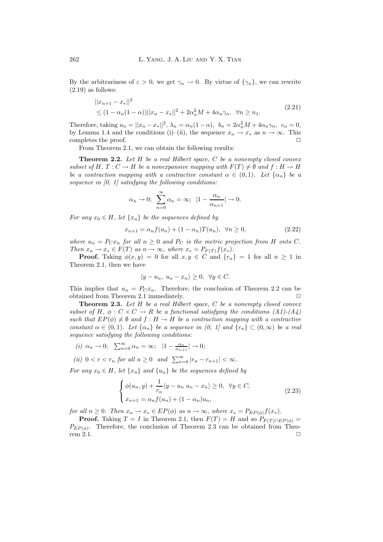By the arbitrariness of  $\varepsilon > 0$ , we get  $\gamma_n \to 0$ . By virtue of  $\{\gamma_n\}$ , we can rewrite  $(2.19)$  as follows:

$$
||x_{n+1} - x_*||^2
$$
  
\n
$$
\leq (1 - \alpha_n(1 - \alpha))||x_n - x_*||^2 + 2\alpha_n^2 M + 4\alpha_n \gamma_n, \ \forall n \geq n_1.
$$
\n(2.21)

Therefore, taking  $a_n = ||x_n - x_*||^2$ ,  $\lambda_n = \alpha_n(1 - \alpha)$ ,  $b_n = 2\alpha_n^2 M + 4\alpha_n \gamma_n$ ,  $c_n = 0$ , by Lemma 1.4 and the conditions (i)–(ii), the sequence  $x_n \to x_*$  as  $n \to \infty$ . This completes the proof.

From Theorem 2.1, we can obtain the following results:

**Theorem 2.2.** *Let* H *be a real Hilbert space,* C *be a nonempty closed convex subset of*  $H, T: C \to H$  *be a nonexpansive mapping with*  $F(T) \neq \emptyset$  *and*  $f: H \to H$ *be a contraction mapping with a contractive constant*  $\alpha \in (0,1)$ *. Let*  $\{\alpha_n\}$  *be a sequence in [0, 1] satisfying the following conditions:*

$$
\alpha_n \to 0
$$
;  $\sum_{n=0}^{\infty} \alpha_n = \infty$ ;  $|1 - \frac{\alpha_n}{\alpha_{n+1}}| \to 0$ .

*For any*  $x_0 \in H$ *, let*  $\{x_n\}$  *be the sequences defined by* 

$$
x_{n+1} = \alpha_n f(u_n) + (1 - \alpha_n) T(u_n), \ \forall n \ge 0,
$$
\n(2.22)

*where*  $u_n = P_C x_n$  *for all*  $n \geq 0$  *and*  $P_C$  *is the metric projection from* H *onto* C. *Then*  $x_n \to x_* \in F(T)$  *as*  $n \to \infty$ *, where*  $x_* = P_{F(T)}f(x_*)$ *.* 

**Proof.** Taking  $\phi(x, y) = 0$  for all  $x, y \in C$  and  $\{r_n\} = 1$  for all  $n \ge 1$  in Theorem 2.1, then we have

$$
\langle y - u_n, u_n - x_n \rangle \ge 0, \ \forall y \in C.
$$

This implies that  $u_n = P_C x_n$ . Therefore, the conclusion of Theorem 2.2 can be obtained from Theorem 2.1 immediately.

**Theorem 2.3.** *Let* H *be a real Hilbert space,* C *be a nonempty closed convex subset of*  $H$ ,  $\phi$  :  $C \times C \rightarrow R$  *be a functional satisfying the conditions (A1)-(A4) such that*  $EP(\phi) \neq \emptyset$  *and*  $f : H \to H$  *be a contraction mapping with a contractive constant*  $\alpha \in (0,1)$ *. Let*  $\{\alpha_n\}$  *be a sequence in*  $(0, 1)$  *and*  $\{r_n\} \subset (0,\infty)$  *be a real sequence satisfying the following conditions:*

$$
(i) \ \alpha_n \to 0; \ \sum_{n=0}^{\infty} \alpha_n = \infty; \ |1 - \frac{\alpha_n}{\alpha_{n+1}}| \to 0;
$$

*(ii)*  $0 < r < r_n$  *for all*  $n \ge 0$  *and*  $\sum_{n=0}^{\infty} |r_n - r_{n+1}| < \infty$ *.* 

*For any*  $x_0 \in H$ *, let*  $\{x_n\}$  *and*  $\{u_n\}$  *be the sequences defined by* 

$$
\begin{cases}\n\phi(u_n, y) + \frac{1}{r_n} \langle y - u_n u_n - x_n \rangle \ge 0, \quad \forall y \in C, \\
x_{n+1} = \alpha_n f(u_n) + (1 - \alpha_n) u_n,\n\end{cases}
$$
\n(2.23)

*for all*  $n \geq 0$ *. Then*  $x_n \to x_* \in EP(\phi)$  *as*  $n \to \infty$ *, where*  $x_* = P_{EP(\phi)}f(x_*)$ *.* 

**Proof.** Taking  $T = I$  in Theorem 2.1, then  $F(T) = H$  and so  $P_{F(T) \cap EP(\phi)} =$  $P_{EP(\phi)}$ . Therefore, the conclusion of Theorem 2.3 can be obtained from Theorem 2.1.  $\Box$